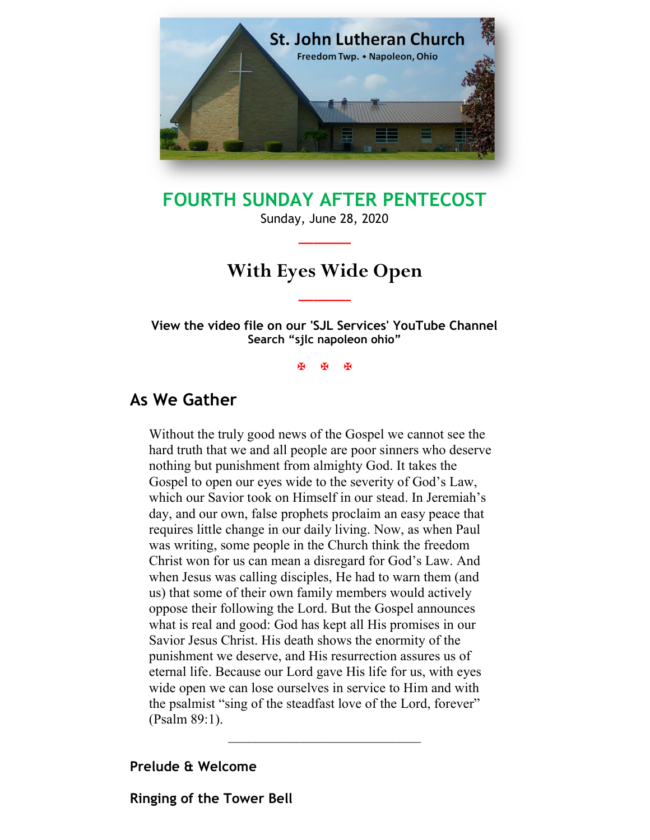

# FOURTH SUNDAY AFTER PENTECOST

Sunday, June 28, 2020  $\overline{\phantom{a}}$ 

# With Eyes Wide Open

 $\overline{\phantom{a}}$ 

View the video file on our 'SJL Services' YouTube Channel Search "sjlc napoleon ohio"

**XXX** 

## As We Gather

Without the truly good news of the Gospel we cannot see the hard truth that we and all people are poor sinners who deserve nothing but punishment from almighty God. It takes the Gospel to open our eyes wide to the severity of God's Law, which our Savior took on Himself in our stead. In Jeremiah's day, and our own, false prophets proclaim an easy peace that requires little change in our daily living. Now, as when Paul was writing, some people in the Church think the freedom Christ won for us can mean a disregard for God's Law. And when Jesus was calling disciples, He had to warn them (and us) that some of their own family members would actively oppose their following the Lord. But the Gospel announces what is real and good: God has kept all His promises in our Savior Jesus Christ. His death shows the enormity of the punishment we deserve, and His resurrection assures us of eternal life. Because our Lord gave His life for us, with eyes wide open we can lose ourselves in service to Him and with the psalmist "sing of the steadfast love of the Lord, forever" (Psalm 89:1).

 $\mathcal{L}_\text{max}$  , where  $\mathcal{L}_\text{max}$  is the set of the set of the set of the set of the set of the set of the set of the set of the set of the set of the set of the set of the set of the set of the set of the set of the se

### Prelude & Welcome

Ringing of the Tower Bell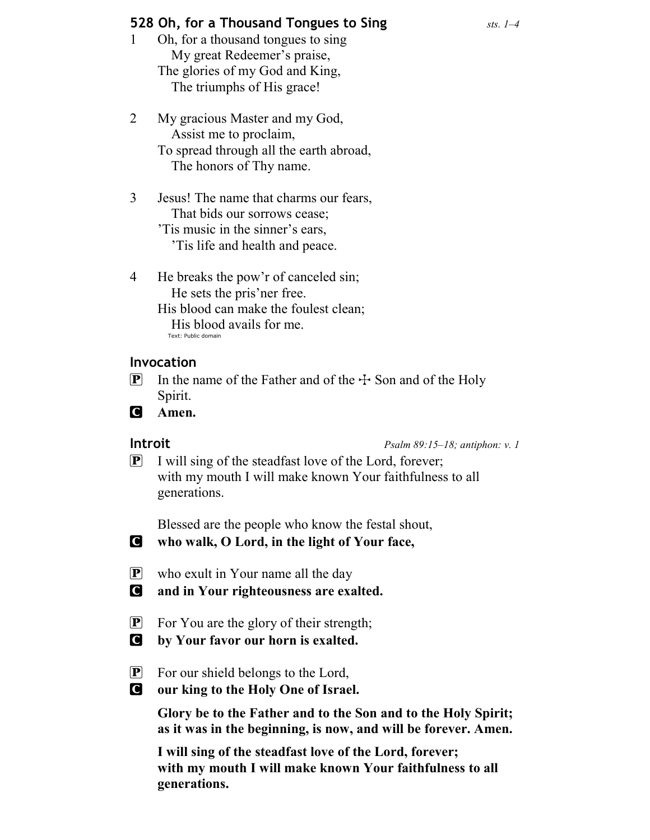### **528 Oh, for a Thousand Tongues to Sing**  $\frac{sts}{1-4}$

- 1 Oh, for a thousand tongues to sing My great Redeemer's praise, The glories of my God and King, The triumphs of His grace!
- 2 My gracious Master and my God, Assist me to proclaim, To spread through all the earth abroad, The honors of Thy name.
- 3 Jesus! The name that charms our fears, That bids our sorrows cease; 'Tis music in the sinner's ears,

'Tis life and health and peace.

4 He breaks the pow'r of canceled sin; He sets the pris'ner free. His blood can make the foulest clean; His blood avails for me. Text: Public domain

### Invocation

- **P** In the name of the Father and of the  $\pm$  Son and of the Holy Spirit.
- **C** Amen.

**Introit** Psalm 89:15–18; antiphon: v. 1

 $\left[ \mathbf{P} \right]$  I will sing of the steadfast love of the Lord, forever; with my mouth I will make known Your faithfulness to all generations.

Blessed are the people who know the festal shout,

- C who walk, O Lord, in the light of Your face,
- $\mathbf{P}$  who exult in Your name all the day

C and in Your righteousness are exalted.

- P For You are the glory of their strength;
- C by Your favor our horn is exalted.
- P For our shield belongs to the Lord,
- C our king to the Holy One of Israel.

Glory be to the Father and to the Son and to the Holy Spirit; as it was in the beginning, is now, and will be forever. Amen.

I will sing of the steadfast love of the Lord, forever; with my mouth I will make known Your faithfulness to all generations.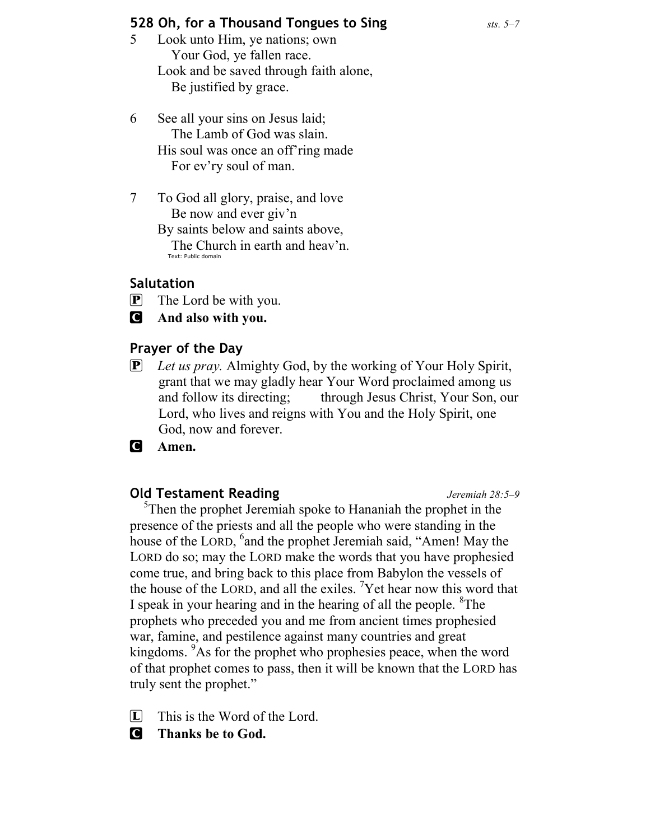### **528 Oh, for a Thousand Tongues to Sing**  $\frac{sts. 5-7}{s}$

- 5 Look unto Him, ye nations; own Your God, ye fallen race. Look and be saved through faith alone, Be justified by grace.
- 6 See all your sins on Jesus laid; The Lamb of God was slain. His soul was once an off'ring made For ev'ry soul of man.
- 7 To God all glory, praise, and love Be now and ever giv'n

By saints below and saints above, The Church in earth and heav'n. Text: Public domain

### Salutation

- $\mathbf{P}$  The Lord be with you.
- C And also with you.

### Prayer of the Day

- $\mathbf{P}$  Let us pray. Almighty God, by the working of Your Holy Spirit, grant that we may gladly hear Your Word proclaimed among us and follow its directing; through Jesus Christ, Your Son, our Lord, who lives and reigns with You and the Holy Spirit, one God, now and forever.
- **C** Amen.

### **Old Testament Reading Server All Accords** Jeremiah 28:5–9

 $5<sup>5</sup>$ Then the prophet Jeremiah spoke to Hananiah the prophet in the presence of the priests and all the people who were standing in the house of the LORD, <sup>6</sup> and the prophet Jeremiah said, "Amen! May the LORD do so; may the LORD make the words that you have prophesied come true, and bring back to this place from Babylon the vessels of the house of the LORD, and all the exiles. <sup>7</sup>Yet hear now this word that I speak in your hearing and in the hearing of all the people. <sup>8</sup>The prophets who preceded you and me from ancient times prophesied war, famine, and pestilence against many countries and great kingdoms. <sup>9</sup>As for the prophet who prophesies peace, when the word of that prophet comes to pass, then it will be known that the LORD has truly sent the prophet."

- $\Box$  This is the Word of the Lord.
- C Thanks be to God.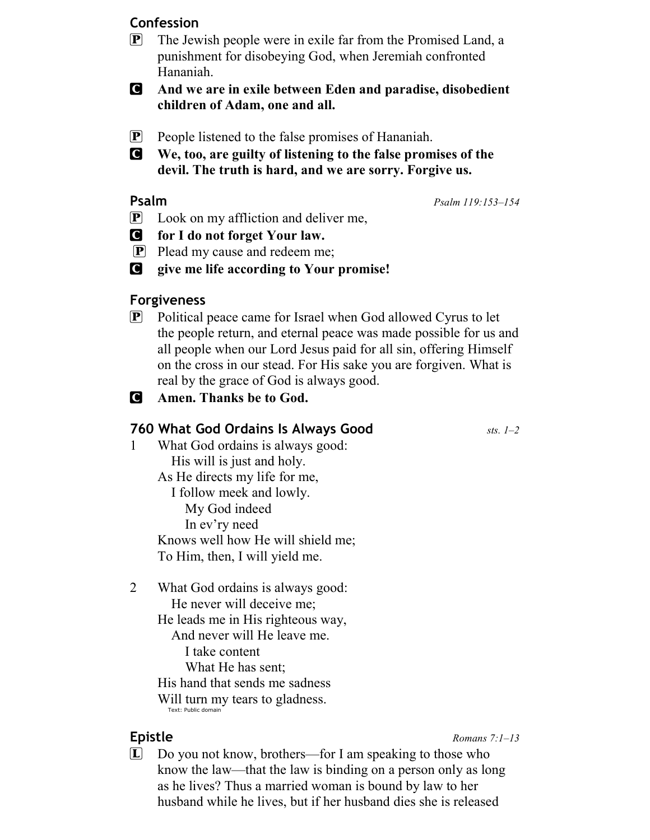### Confession

- **P** The Jewish people were in exile far from the Promised Land, a punishment for disobeying God, when Jeremiah confronted Hananiah.
- C And we are in exile between Eden and paradise, disobedient children of Adam, one and all.
- **P** People listened to the false promises of Hananiah.
- C We, too, are guilty of listening to the false promises of the devil. The truth is hard, and we are sorry. Forgive us.

**Psalm** 119:153–154

- **P** Look on my affliction and deliver me,
- C for I do not forget Your law.
- $\boxed{\mathbf{P}}$  Plead my cause and redeem me;
- C give me life according to Your promise!

### Forgiveness

 $\mathbf{P}$  Political peace came for Israel when God allowed Cyrus to let the people return, and eternal peace was made possible for us and all people when our Lord Jesus paid for all sin, offering Himself on the cross in our stead. For His sake you are forgiven. What is real by the grace of God is always good.

### C Amen. Thanks be to God.

### **760 What God Ordains Is Always Good**  $s_{sts.}$  **1–2**

- 1 What God ordains is always good: His will is just and holy. As He directs my life for me, I follow meek and lowly. My God indeed In ev'ry need Knows well how He will shield me; To Him, then, I will yield me.
- 2 What God ordains is always good: He never will deceive me; He leads me in His righteous way, And never will He leave me. I take content What He has sent; His hand that sends me sadness

Will turn my tears to gladness. Text: Public domain

Epistle Romans 7:1–13

L Do you not know, brothers—for I am speaking to those who know the law—that the law is binding on a person only as long as he lives? Thus a married woman is bound by law to her husband while he lives, but if her husband dies she is released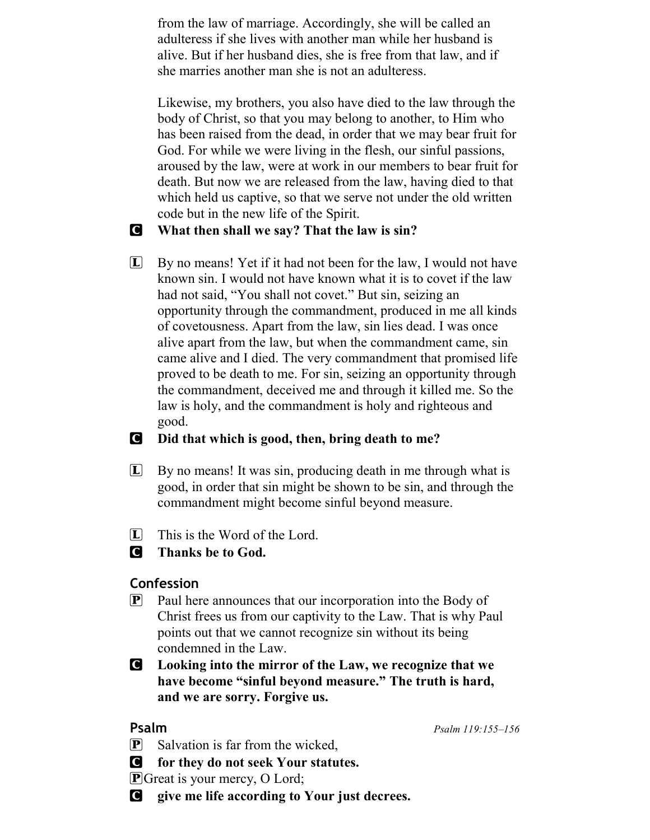from the law of marriage. Accordingly, she will be called an adulteress if she lives with another man while her husband is alive. But if her husband dies, she is free from that law, and if she marries another man she is not an adulteress.

Likewise, my brothers, you also have died to the law through the body of Christ, so that you may belong to another, to Him who has been raised from the dead, in order that we may bear fruit for God. For while we were living in the flesh, our sinful passions, aroused by the law, were at work in our members to bear fruit for death. But now we are released from the law, having died to that which held us captive, so that we serve not under the old written code but in the new life of the Spirit.

### C What then shall we say? That the law is sin?

 $\Box$  By no means! Yet if it had not been for the law, I would not have known sin. I would not have known what it is to covet if the law had not said, "You shall not covet." But sin, seizing an opportunity through the commandment, produced in me all kinds of covetousness. Apart from the law, sin lies dead. I was once alive apart from the law, but when the commandment came, sin came alive and I died. The very commandment that promised life proved to be death to me. For sin, seizing an opportunity through the commandment, deceived me and through it killed me. So the law is holy, and the commandment is holy and righteous and good.

### C Did that which is good, then, bring death to me?

- $\Box$  By no means! It was sin, producing death in me through what is good, in order that sin might be shown to be sin, and through the commandment might become sinful beyond measure.
- $\Box$  This is the Word of the Lord.

### **C** Thanks be to God.

### Confession

 $\mathbf{P}$  Paul here announces that our incorporation into the Body of Christ frees us from our captivity to the Law. That is why Paul points out that we cannot recognize sin without its being condemned in the Law.

C Looking into the mirror of the Law, we recognize that we have become "sinful beyond measure." The truth is hard, and we are sorry. Forgive us.

**Psalm** Psalm 119:155–156

- $\left| \mathbf{P} \right|$  Salvation is far from the wicked,
- C for they do not seek Your statutes.

**P** Great is your mercy, O Lord;

C give me life according to Your just decrees.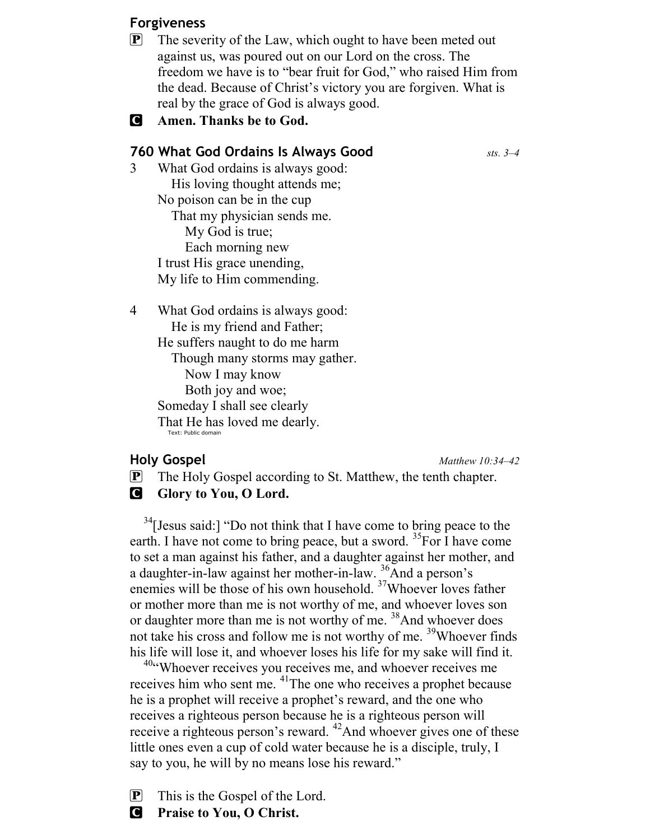### Forgiveness

- $\mathbf{P}$  The severity of the Law, which ought to have been meted out against us, was poured out on our Lord on the cross. The freedom we have is to "bear fruit for God," who raised Him from the dead. Because of Christ's victory you are forgiven. What is real by the grace of God is always good.
- **C** Amen. Thanks be to God.

### **760 What God Ordains Is Always Good**  $\frac{sts}{s}$  sts. 3–4

- 3 What God ordains is always good: His loving thought attends me; No poison can be in the cup That my physician sends me. My God is true; Each morning new I trust His grace unending, My life to Him commending.
- 4 What God ordains is always good: He is my friend and Father; He suffers naught to do me harm Though many storms may gather. Now I may know Both joy and woe; Someday I shall see clearly

That He has loved me dearly. Text: Public domain

### Holy Gospel Matthew 10:34–42

P The Holy Gospel according to St. Matthew, the tenth chapter. **G** Glory to You, O Lord.

 $34$ [Jesus said:] "Do not think that I have come to bring peace to the earth. I have not come to bring peace, but a sword.  ${}^{35}$  For I have come to set a man against his father, and a daughter against her mother, and a daughter-in-law against her mother-in-law. <sup>36</sup>And a person's enemies will be those of his own household. <sup>37</sup>Whoever loves father or mother more than me is not worthy of me, and whoever loves son or daughter more than me is not worthy of me.<sup>38</sup>And whoever does not take his cross and follow me is not worthy of me. <sup>39</sup>Whoever finds his life will lose it, and whoever loses his life for my sake will find it.

<sup>40</sup>"Whoever receives you receives me, and whoever receives me receives him who sent me. <sup>41</sup>The one who receives a prophet because he is a prophet will receive a prophet's reward, and the one who receives a righteous person because he is a righteous person will receive a righteous person's reward. <sup>42</sup>And whoever gives one of these little ones even a cup of cold water because he is a disciple, truly, I say to you, he will by no means lose his reward."

 $\mathbf{P}$  This is the Gospel of the Lord.

**C** Praise to You, O Christ.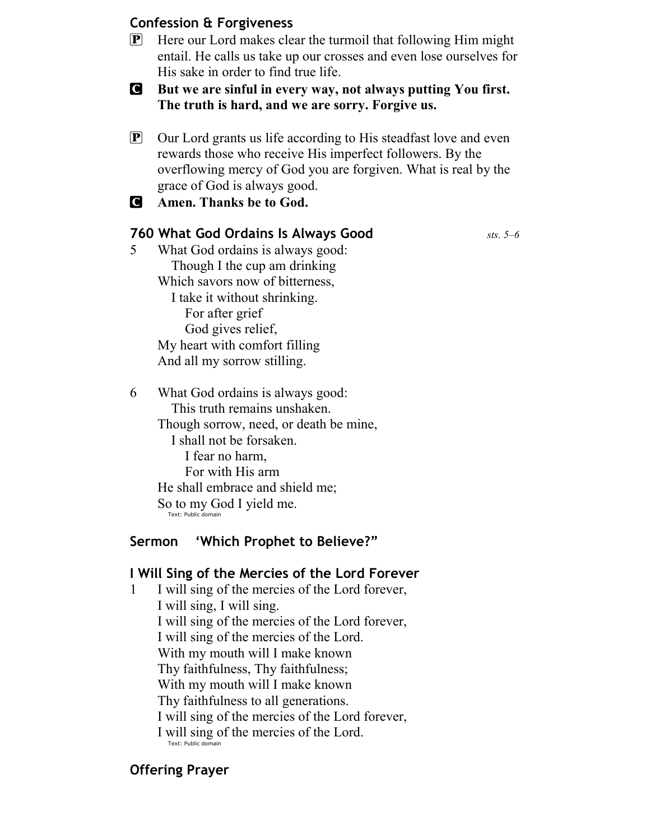### Confession & Forgiveness

- P Here our Lord makes clear the turmoil that following Him might entail. He calls us take up our crosses and even lose ourselves for His sake in order to find true life.
- C But we are sinful in every way, not always putting You first. The truth is hard, and we are sorry. Forgive us.
- P Our Lord grants us life according to His steadfast love and even rewards those who receive His imperfect followers. By the overflowing mercy of God you are forgiven. What is real by the grace of God is always good.
- C Amen. Thanks be to God.

### **760 What God Ordains Is Always Good**  $s_{sts.}$   $5-6$

5 What God ordains is always good: Though I the cup am drinking Which savors now of bitterness, I take it without shrinking. For after grief God gives relief, My heart with comfort filling And all my sorrow stilling.

6 What God ordains is always good: This truth remains unshaken. Though sorrow, need, or death be mine, I shall not be forsaken. I fear no harm, For with His arm He shall embrace and shield me; So to my God I yield me. Text: Public domain

### Sermon 'Which Prophet to Believe?"

### I Will Sing of the Mercies of the Lord Forever

1 I will sing of the mercies of the Lord forever, I will sing, I will sing. I will sing of the mercies of the Lord forever, I will sing of the mercies of the Lord. With my mouth will I make known Thy faithfulness, Thy faithfulness; With my mouth will I make known Thy faithfulness to all generations. I will sing of the mercies of the Lord forever, I will sing of the mercies of the Lord. Text: Public domain

### Offering Prayer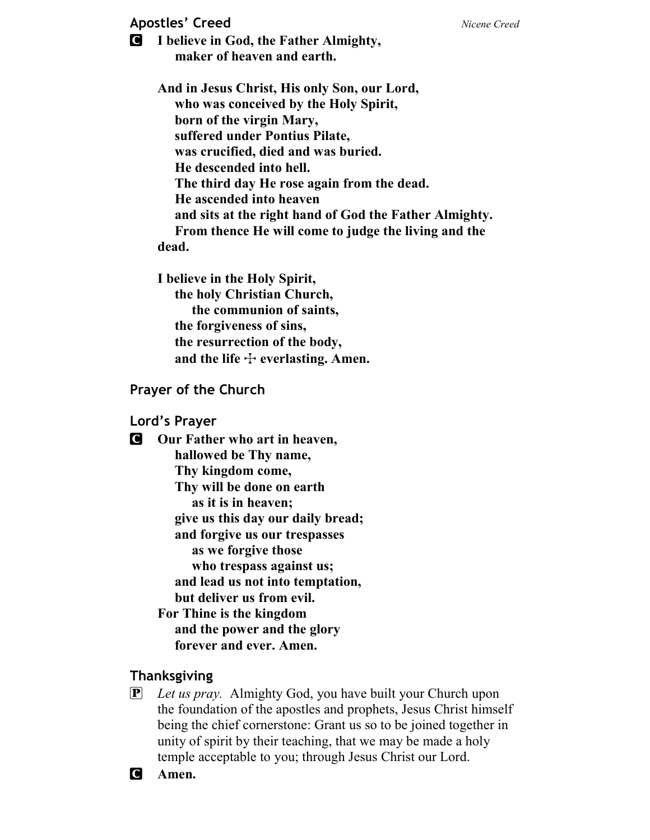### Apostles' Creed Nicene Creed Nicene Creed

C I believe in God, the Father Almighty, maker of heaven and earth.

> And in Jesus Christ, His only Son, our Lord, who was conceived by the Holy Spirit, born of the virgin Mary, suffered under Pontius Pilate, was crucified, died and was buried. He descended into hell. The third day He rose again from the dead. He ascended into heaven and sits at the right hand of God the Father Almighty. From thence He will come to judge the living and the dead.

I believe in the Holy Spirit, the holy Christian Church, the communion of saints, the forgiveness of sins, the resurrection of the body, and the life  $\div$  everlasting. Amen.

### Prayer of the Church

### Lord's Prayer

**C** Our Father who art in heaven, hallowed be Thy name, Thy kingdom come, Thy will be done on earth as it is in heaven; give us this day our daily bread; and forgive us our trespasses as we forgive those who trespass against us; and lead us not into temptation, but deliver us from evil. For Thine is the kingdom and the power and the glory forever and ever. Amen.

### Thanksgiving

 $\overline{P}$  Let us pray. Almighty God, you have built your Church upon the foundation of the apostles and prophets, Jesus Christ himself being the chief cornerstone: Grant us so to be joined together in unity of spirit by their teaching, that we may be made a holy temple acceptable to you; through Jesus Christ our Lord.

C Amen.